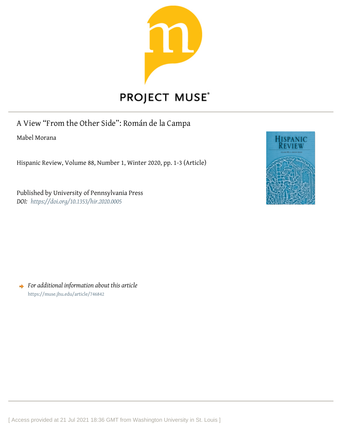

## **PROJECT MUSE®**

A View "From the Other Side": Román de la Campa

Mabel Morana

Hispanic Review, Volume 88, Number 1, Winter 2020, pp. 1-3 (Article)

Published by University of Pennsylvania Press *DOI: <https://doi.org/10.1353/hir.2020.0005>*



*For additional information about this article* <https://muse.jhu.edu/article/746842>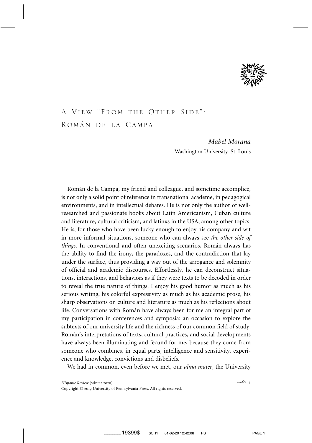

## A View "From the Other Side": ROMÁN DE LA CAMPA

*Mabel Morana* Washington University–St. Louis

Román de la Campa, my friend and colleague, and sometime accomplice, is not only a solid point of reference in transnational academe, in pedagogical environments, and in intellectual debates. He is not only the author of wellresearched and passionate books about Latin Americanism, Cuban culture and literature, cultural criticism, and latinxs in the USA, among other topics. He is, for those who have been lucky enough to enjoy his company and wit in more informal situations, someone who can always see *the other side of things*. In conventional and often unexciting scenarios, Román always has the ability to find the irony, the paradoxes, and the contradiction that lay under the surface, thus providing a way out of the arrogance and solemnity of official and academic discourses. Effortlessly, he can deconstruct situations, interactions, and behaviors as if they were texts to be decoded in order to reveal the true nature of things. I enjoy his good humor as much as his serious writing, his colorful expressivity as much as his academic prose, his sharp observations on culture and literature as much as his reflections about life. Conversations with Román have always been for me an integral part of my participation in conferences and symposia: an occasion to explore the subtexts of our university life and the richness of our common field of study. Román's interpretations of texts, cultural practices, and social developments have always been illuminating and fecund for me, because they come from someone who combines, in equal parts, intelligence and sensitivity, experience and knowledge, convictions and disbeliefs.

We had in common, even before we met, our *alma mater*, the University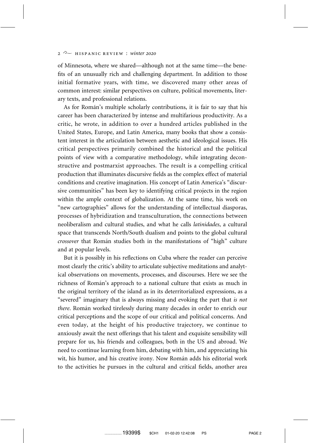of Minnesota, where we shared—although not at the same time—the benefits of an unusually rich and challenging department. In addition to those initial formative years, with time, we discovered many other areas of common interest: similar perspectives on culture, political movements, literary texts, and professional relations.

As for Román's multiple scholarly contributions, it is fair to say that his career has been characterized by intense and multifarious productivity. As a critic, he wrote, in addition to over a hundred articles published in the United States, Europe, and Latin America, many books that show a consistent interest in the articulation between aesthetic and ideological issues. His critical perspectives primarily combined the historical and the political points of view with a comparative methodology, while integrating deconstructive and postmarxist approaches. The result is a compelling critical production that illuminates discursive fields as the complex effect of material conditions and creative imagination. His concept of Latin America's "discursive communities" has been key to identifying critical projects in the region within the ample context of globalization. At the same time, his work on "new cartographies" allows for the understanding of intellectual diasporas, processes of hybridization and transculturation, the connections between neoliberalism and cultural studies, and what he calls *latinidades*, a cultural space that transcends North/South dualism and points to the global cultural *crossover* that Román studies both in the manifestations of "high" culture and at popular levels.

But it is possibly in his reflections on Cuba where the reader can perceive most clearly the critic's ability to articulate subjective meditations and analytical observations on movements, processes, and discourses. Here we see the richness of Román's approach to a national culture that exists as much in the original territory of the island as in its deterritorialized expressions, as a "severed" imaginary that is always missing and evoking the part that *is not there*. Román worked tirelessly during many decades in order to enrich our critical perceptions and the scope of our critical and political concerns. And even today, at the height of his productive trajectory, we continue to anxiously await the next offerings that his talent and exquisite sensibility will prepare for us, his friends and colleagues, both in the US and abroad. We need to continue learning from him, debating with him, and appreciating his wit, his humor, and his creative irony. Now Román adds his editorial work to the activities he pursues in the cultural and critical fields, another area